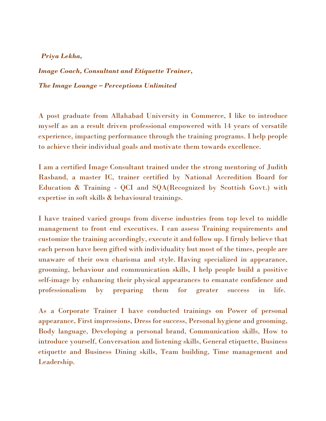## *Priya Lekha,*

*Image Coach, Consultant and Etiquette Trainer, The Image Lounge – Perceptions Unlimited*

A post graduate from Allahabad University in Commerce, I like to introduce myself as an a result driven professional empowered with 14 years of versatile experience, impacting performance through the training programs. I help people to achieve their individual goals and motivate them towards excellence.

I am a certified Image Consultant trained under the strong mentoring of Judith Rasband, a master IC, trainer certified by National Accredition Board for Education & Training - QCI and SQA(Recognized by Scottish Govt.) with expertise in soft skills & behavioural trainings.

I have trained varied groups from diverse industries from top level to middle management to front end executives. I can assess Training requirements and customize the training accordingly, execute it and follow up. I firmly believe that each person have been gifted with individuality but most of the times, people are unaware of their own charisma and style. Having specialized in appearance, grooming, behaviour and communication skills, I help people build a positive self-image by enhancing their physical appearances to emanate confidence and professionalism by preparing them for greater success in life.

As a Corporate Trainer I have conducted trainings on Power of personal appearance, First impressions, Dress for success, Personal hygiene and grooming, Body language, Developing a personal brand, Communication skills, How to introduce yourself, Conversation and listening skills, General etiquette, Business etiquette and Business Dining skills, Team building, Time management and Leadership.